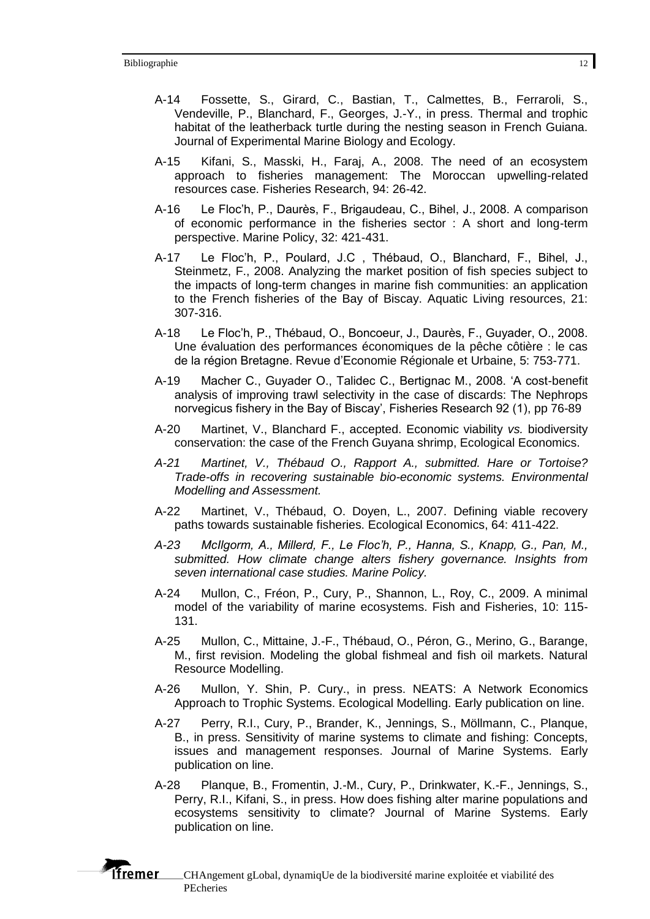- A-14 Fossette, S., Girard, C., Bastian, T., Calmettes, B., Ferraroli, S., Vendeville, P., Blanchard, F., Georges, J.-Y., in press. Thermal and trophic habitat of the leatherback turtle during the nesting season in French Guiana. Journal of Experimental Marine Biology and Ecology.
- A-15 Kifani, S., Masski, H., Faraj, A., 2008. The need of an ecosystem approach to fisheries management: The Moroccan upwelling-related resources case. Fisheries Research, 94: 26-42.
- A-16 Le Floc'h, P., Daurès, F., Brigaudeau, C., Bihel, J., 2008. A comparison of economic performance in the fisheries sector : A short and long-term perspective. Marine Policy, 32: 421-431.
- A-17 Le Floc'h, P., Poulard, J.C , Thébaud, O., Blanchard, F., Bihel, J., Steinmetz, F., 2008. Analyzing the market position of fish species subject to the impacts of long-term changes in marine fish communities: an application to the French fisheries of the Bay of Biscay. Aquatic Living resources, 21: 307-316.
- A-18 Le Floc'h, P., Thébaud, O., Boncoeur, J., Daurès, F., Guyader, O., 2008. Une évaluation des performances économiques de la pêche côtière : le cas de la région Bretagne. Revue d'Economie Régionale et Urbaine, 5: 753-771.
- A-19 Macher C., Guyader O., Talidec C., Bertignac M., 2008. 'A cost-benefit analysis of improving trawl selectivity in the case of discards: The Nephrops norvegicus fishery in the Bay of Biscay', Fisheries Research 92 (1), pp 76-89
- A-20 Martinet, V., Blanchard F., accepted. Economic viability *vs.* biodiversity conservation: the case of the French Guyana shrimp, Ecological Economics.
- *A-21 Martinet, V., Thébaud O., Rapport A., submitted. Hare or Tortoise? Trade-offs in recovering sustainable bio-economic systems. Environmental Modelling and Assessment.*
- A-22 Martinet, V., Thébaud, O. Doyen, L., 2007. Defining viable recovery paths towards sustainable fisheries. Ecological Economics, 64: 411-422.
- *A-23 McIlgorm, A., Millerd, F., Le Floc'h, P., Hanna, S., Knapp, G., Pan, M., submitted. How climate change alters fishery governance. Insights from seven international case studies. Marine Policy.*
- A-24 Mullon, C., Fréon, P., Cury, P., Shannon, L., Roy, C., 2009. A minimal model of the variability of marine ecosystems. Fish and Fisheries, 10: 115- 131.
- A-25 Mullon, C., Mittaine, J.-F., Thébaud, O., Péron, G., Merino, G., Barange, M., first revision. Modeling the global fishmeal and fish oil markets. Natural Resource Modelling.
- A-26 Mullon, Y. Shin, P. Cury., in press. NEATS: A Network Economics Approach to Trophic Systems. Ecological Modelling. Early publication on line.
- A-27 Perry, R.I., Cury, P., Brander, K., Jennings, S., Möllmann, C., Planque, B., in press. Sensitivity of marine systems to climate and fishing: Concepts, issues and management responses. Journal of Marine Systems. Early publication on line.
- A-28 Planque, B., Fromentin, J.-M., Cury, P., Drinkwater, K.-F., Jennings, S., Perry, R.I., Kifani, S., in press. How does fishing alter marine populations and ecosystems sensitivity to climate? Journal of Marine Systems. Early publication on line.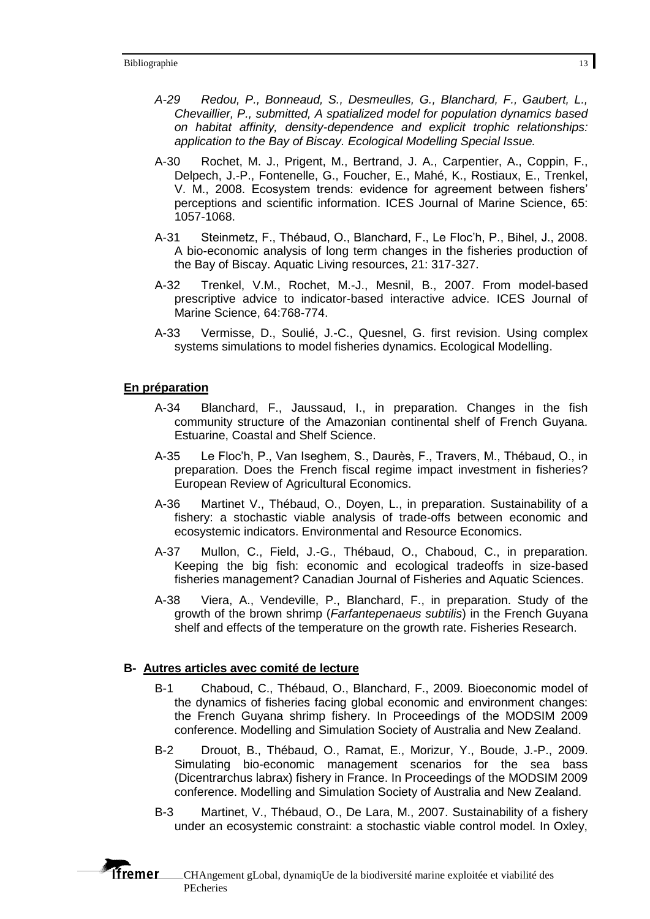- *A-29 Redou, P., Bonneaud, S., Desmeulles, G., Blanchard, F., Gaubert, L., Chevaillier, P., submitted, A spatialized model for population dynamics based on habitat affinity, density-dependence and explicit trophic relationships: application to the Bay of Biscay. Ecological Modelling Special Issue.*
- A-30 Rochet, M. J., Prigent, M., Bertrand, J. A., Carpentier, A., Coppin, F., Delpech, J.-P., Fontenelle, G., Foucher, E., Mahé, K., Rostiaux, E., Trenkel, V. M., 2008. Ecosystem trends: evidence for agreement between fishers' perceptions and scientific information. ICES Journal of Marine Science, 65: 1057-1068.
- A-31 Steinmetz, F., Thébaud, O., Blanchard, F., Le Floc'h, P., Bihel, J., 2008. A bio-economic analysis of long term changes in the fisheries production of the Bay of Biscay. Aquatic Living resources, 21: 317-327.
- A-32 Trenkel, V.M., Rochet, M.-J., Mesnil, B., 2007. From model-based prescriptive advice to indicator-based interactive advice. ICES Journal of Marine Science, 64:768-774.
- A-33 Vermisse, D., Soulié, J.-C., Quesnel, G. first revision. Using complex systems simulations to model fisheries dynamics. Ecological Modelling.

## **En préparation**

**Tfremer** 

- A-34 Blanchard, F., Jaussaud, I., in preparation. Changes in the fish community structure of the Amazonian continental shelf of French Guyana. Estuarine, Coastal and Shelf Science.
- A-35 Le Floc'h, P., Van Iseghem, S., Daurès, F., Travers, M., Thébaud, O., in preparation. Does the French fiscal regime impact investment in fisheries? European Review of Agricultural Economics.
- A-36 Martinet V., Thébaud, O., Doyen, L., in preparation. Sustainability of a fishery: a stochastic viable analysis of trade-offs between economic and ecosystemic indicators. Environmental and Resource Economics.
- A-37 Mullon, C., Field, J.-G., Thébaud, O., Chaboud, C., in preparation. Keeping the big fish: economic and ecological tradeoffs in size-based fisheries management? Canadian Journal of Fisheries and Aquatic Sciences.
- A-38 Viera, A., Vendeville, P., Blanchard, F., in preparation. Study of the growth of the brown shrimp (*Farfantepenaeus subtilis*) in the French Guyana shelf and effects of the temperature on the growth rate. Fisheries Research.

## **B- Autres articles avec comité de lecture**

- B-1 Chaboud, C., Thébaud, O., Blanchard, F., 2009. Bioeconomic model of the dynamics of fisheries facing global economic and environment changes: the French Guyana shrimp fishery. In Proceedings of the MODSIM 2009 conference. Modelling and Simulation Society of Australia and New Zealand.
- B-2 Drouot, B., Thébaud, O., Ramat, E., Morizur, Y., Boude, J.-P., 2009. Simulating bio-economic management scenarios for the sea bass (Dicentrarchus labrax) fishery in France. In Proceedings of the MODSIM 2009 conference. Modelling and Simulation Society of Australia and New Zealand.
- B-3 Martinet, V., Thébaud, O., De Lara, M., 2007. Sustainability of a fishery under an ecosystemic constraint: a stochastic viable control model. In Oxley,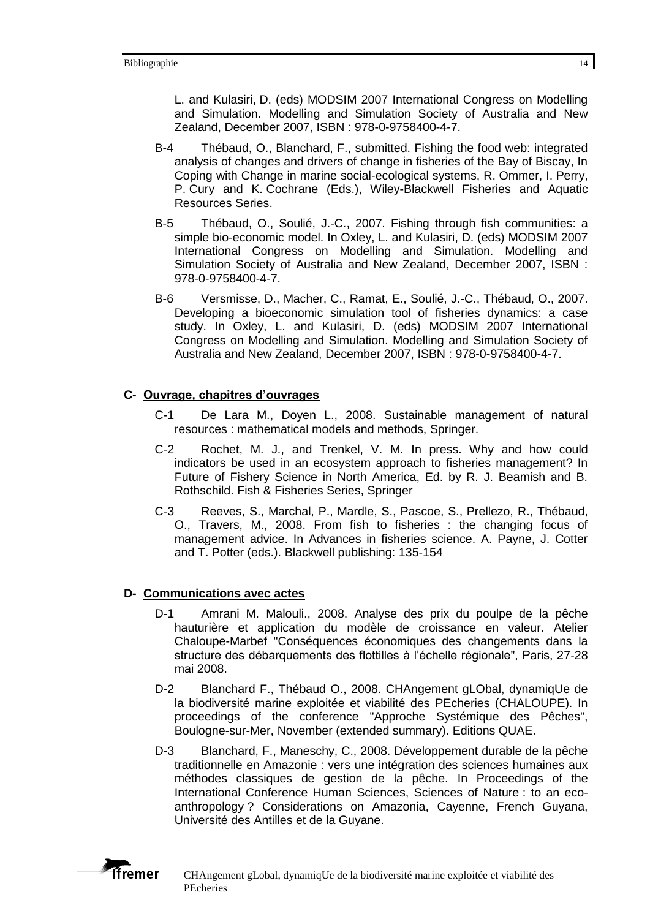L. and Kulasiri, D. (eds) MODSIM 2007 International Congress on Modelling and Simulation. Modelling and Simulation Society of Australia and New Zealand, December 2007, ISBN : 978-0-9758400-4-7.

- B-4 Thébaud, O., Blanchard, F., submitted. Fishing the food web: integrated analysis of changes and drivers of change in fisheries of the Bay of Biscay, In Coping with Change in marine social-ecological systems, R. Ommer, I. Perry, P. Cury and K. Cochrane (Eds.), Wiley-Blackwell Fisheries and Aquatic Resources Series.
- B-5 Thébaud, O., Soulié, J.-C., 2007. Fishing through fish communities: a simple bio-economic model. In Oxley, L. and Kulasiri, D. (eds) MODSIM 2007 International Congress on Modelling and Simulation. Modelling and Simulation Society of Australia and New Zealand, December 2007, ISBN : 978-0-9758400-4-7.
- B-6 Versmisse, D., Macher, C., Ramat, E., Soulié, J.-C., Thébaud, O., 2007. Developing a bioeconomic simulation tool of fisheries dynamics: a case study. In Oxley, L. and Kulasiri, D. (eds) MODSIM 2007 International Congress on Modelling and Simulation. Modelling and Simulation Society of Australia and New Zealand, December 2007, ISBN : 978-0-9758400-4-7.

## **C- Ouvrage, chapitres d'ouvrages**

- C-1 De Lara M., Doyen L., 2008. Sustainable management of natural resources : mathematical models and methods, Springer.
- C-2 Rochet, M. J., and Trenkel, V. M. In press. Why and how could indicators be used in an ecosystem approach to fisheries management? In Future of Fishery Science in North America, Ed. by R. J. Beamish and B. Rothschild. Fish & Fisheries Series, Springer
- C-3 Reeves, S., Marchal, P., Mardle, S., Pascoe, S., Prellezo, R., Thébaud, O., Travers, M., 2008. From fish to fisheries : the changing focus of management advice. In Advances in fisheries science. A. Payne, J. Cotter and T. Potter (eds.). Blackwell publishing: 135-154

## **D- Communications avec actes**

**Tfremer** 

- D-1 Amrani M. Malouli., 2008. Analyse des prix du poulpe de la pêche hauturière et application du modèle de croissance en valeur. Atelier Chaloupe-Marbef "Conséquences économiques des changements dans la structure des débarquements des flottilles à l'échelle régionale", Paris, 27-28 mai 2008.
- D-2 Blanchard F., Thébaud O., 2008. CHAngement gLObal, dynamiqUe de la biodiversité marine exploitée et viabilité des PEcheries (CHALOUPE). In proceedings of the conference "Approche Systémique des Pêches", Boulogne-sur-Mer, November (extended summary). Editions QUAE.
- D-3 Blanchard, F., Maneschy, C., 2008. Développement durable de la pêche traditionnelle en Amazonie : vers une intégration des sciences humaines aux méthodes classiques de gestion de la pêche. In Proceedings of the International Conference Human Sciences, Sciences of Nature : to an ecoanthropology ? Considerations on Amazonia, Cayenne, French Guyana, Université des Antilles et de la Guyane.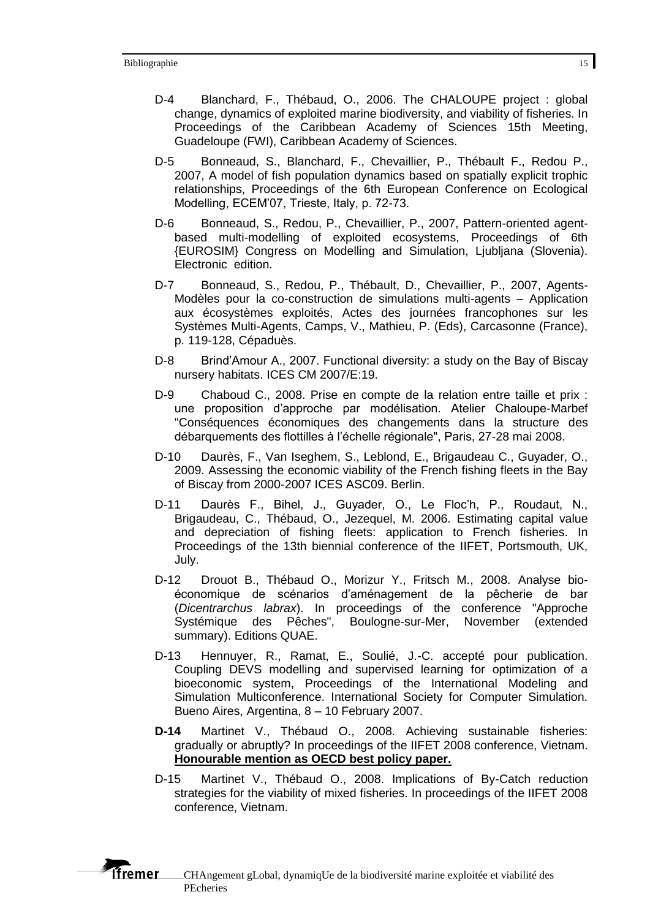- D-4 Blanchard, F., Thébaud, O., 2006. The CHALOUPE project : global change, dynamics of exploited marine biodiversity, and viability of fisheries. In Proceedings of the Caribbean Academy of Sciences 15th Meeting, Guadeloupe (FWI), Caribbean Academy of Sciences.
- D-5 Bonneaud, S., Blanchard, F., Chevaillier, P., Thébault F., Redou P., 2007, A model of fish population dynamics based on spatially explicit trophic relationships, Proceedings of the 6th European Conference on Ecological Modelling, ECEM'07, Trieste, Italy, p. 72-73.
- D-6 Bonneaud, S., Redou, P., Chevaillier, P., 2007, Pattern-oriented agentbased multi-modelling of exploited ecosystems, Proceedings of 6th {EUROSIM} Congress on Modelling and Simulation, Ljubljana (Slovenia). Electronic edition.
- D-7 Bonneaud, S., Redou, P., Thébault, D., Chevaillier, P., 2007, Agents-Modèles pour la co-construction de simulations multi-agents – Application aux écosystèmes exploités, Actes des journées francophones sur les Systèmes Multi-Agents, Camps, V., Mathieu, P. (Eds), Carcasonne (France), p. 119-128, Cépaduès.
- D-8 Brind'Amour A., 2007. Functional diversity: a study on the Bay of Biscay nursery habitats. ICES CM 2007/E:19.
- D-9 Chaboud C., 2008. Prise en compte de la relation entre taille et prix : une proposition d'approche par modélisation. Atelier Chaloupe-Marbef "Conséquences économiques des changements dans la structure des débarquements des flottilles à l'échelle régionale", Paris, 27-28 mai 2008.
- D-10 Daurès, F., Van Iseghem, S., Leblond, E., Brigaudeau C., Guyader, O., 2009. Assessing the economic viability of the French fishing fleets in the Bay of Biscay from 2000-2007 ICES ASC09. Berlin.
- D-11 Daurès F., Bihel, J., Guyader, O., Le Floc'h, P., Roudaut, N., Brigaudeau, C., Thébaud, O., Jezequel, M. 2006. Estimating capital value and depreciation of fishing fleets: application to French fisheries. In Proceedings of the 13th biennial conference of the IIFET, Portsmouth, UK, July.
- D-12 Drouot B., Thébaud O., Morizur Y., Fritsch M., 2008. Analyse bioéconomique de scénarios d'aménagement de la pêcherie de bar (*Dicentrarchus labrax*). In proceedings of the conference "Approche Systémique des Pêches", Boulogne-sur-Mer, November (extended summary). Editions QUAE.
- D-13 Hennuyer, R., Ramat, E., Soulié, J.-C. accepté pour publication. Coupling DEVS modelling and supervised learning for optimization of a bioeconomic system, Proceedings of the International Modeling and Simulation Multiconference. International Society for Computer Simulation. Bueno Aires, Argentina, 8 – 10 February 2007.
- **D-14** Martinet V., Thébaud O., 2008. Achieving sustainable fisheries: gradually or abruptly? In proceedings of the IIFET 2008 conference, Vietnam. **Honourable mention as OECD best policy paper.**
- D-15 Martinet V., Thébaud O., 2008. Implications of By-Catch reduction strategies for the viability of mixed fisheries. In proceedings of the IIFET 2008 conference, Vietnam.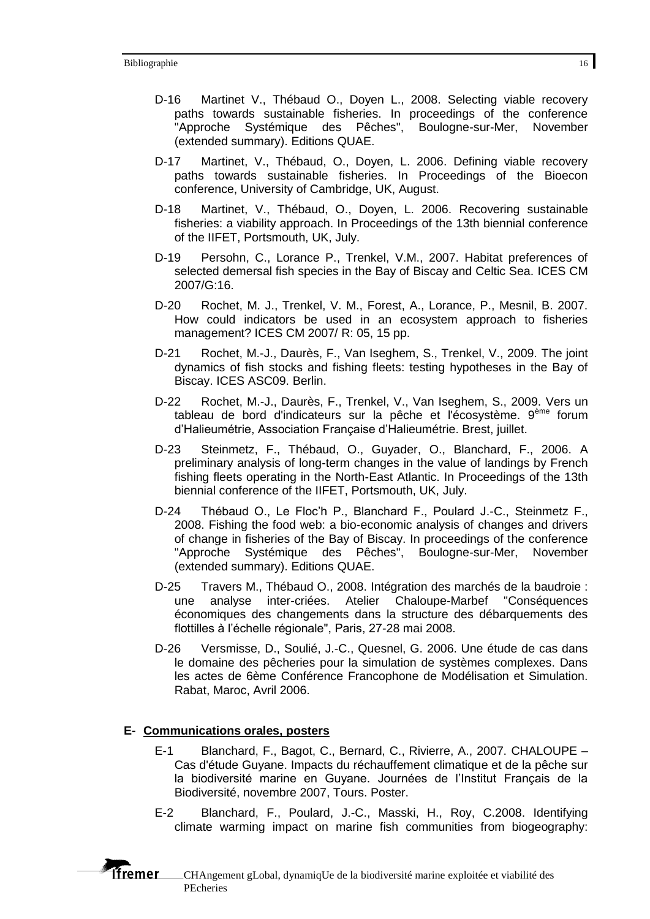- D-16 Martinet V., Thébaud O., Doyen L., 2008. Selecting viable recovery paths towards sustainable fisheries. In proceedings of the conference "Approche Systémique des Pêches", Boulogne-sur-Mer, November (extended summary). Editions QUAE.
- D-17 Martinet, V., Thébaud, O., Doyen, L. 2006. Defining viable recovery paths towards sustainable fisheries. In Proceedings of the Bioecon conference, University of Cambridge, UK, August.
- D-18 Martinet, V., Thébaud, O., Doyen, L. 2006. Recovering sustainable fisheries: a viability approach. In Proceedings of the 13th biennial conference of the IIFET, Portsmouth, UK, July.
- D-19 Persohn, C., Lorance P., Trenkel, V.M., 2007. Habitat preferences of selected demersal fish species in the Bay of Biscay and Celtic Sea. ICES CM 2007/G:16.
- D-20 Rochet, M. J., Trenkel, V. M., Forest, A., Lorance, P., Mesnil, B. 2007. How could indicators be used in an ecosystem approach to fisheries management? ICES CM 2007/ R: 05, 15 pp.
- D-21 Rochet, M.-J., Daurès, F., Van Iseghem, S., Trenkel, V., 2009. The joint dynamics of fish stocks and fishing fleets: testing hypotheses in the Bay of Biscay. ICES ASC09. Berlin.
- D-22 Rochet, M.-J., Daurès, F., Trenkel, V., Van Iseghem, S., 2009. Vers un tableau de bord d'indicateurs sur la pêche et l'écosystème. 9<sup>ème</sup> forum d'Halieumétrie, Association Française d'Halieumétrie. Brest, juillet.
- D-23 Steinmetz, F., Thébaud, O., Guyader, O., Blanchard, F., 2006. A preliminary analysis of long-term changes in the value of landings by French fishing fleets operating in the North-East Atlantic. In Proceedings of the 13th biennial conference of the IIFET, Portsmouth, UK, July.
- D-24 Thébaud O., Le Floc'h P., Blanchard F., Poulard J.-C., Steinmetz F., 2008. Fishing the food web: a bio-economic analysis of changes and drivers of change in fisheries of the Bay of Biscay. In proceedings of the conference "Approche Systémique des Pêches", Boulogne-sur-Mer, November (extended summary). Editions QUAE.
- D-25 Travers M., Thébaud O., 2008. Intégration des marchés de la baudroie : une analyse inter-criées. Atelier Chaloupe-Marbef "Conséquences économiques des changements dans la structure des débarquements des flottilles à l'échelle régionale", Paris, 27-28 mai 2008.
- D-26 Versmisse, D., Soulié, J.-C., Quesnel, G. 2006. Une étude de cas dans le domaine des pêcheries pour la simulation de systèmes complexes. Dans les actes de 6ème Conférence Francophone de Modélisation et Simulation. Rabat, Maroc, Avril 2006.

## **E- Communications orales, posters**

*f*fremer

- E-1 Blanchard, F., Bagot, C., Bernard, C., Rivierre, A., 2007. CHALOUPE Cas d'étude Guyane. Impacts du réchauffement climatique et de la pêche sur la biodiversité marine en Guyane. Journées de l'Institut Français de la Biodiversité, novembre 2007, Tours. Poster.
- E-2 Blanchard, F., Poulard, J.-C., Masski, H., Roy, C.2008. Identifying climate warming impact on marine fish communities from biogeography: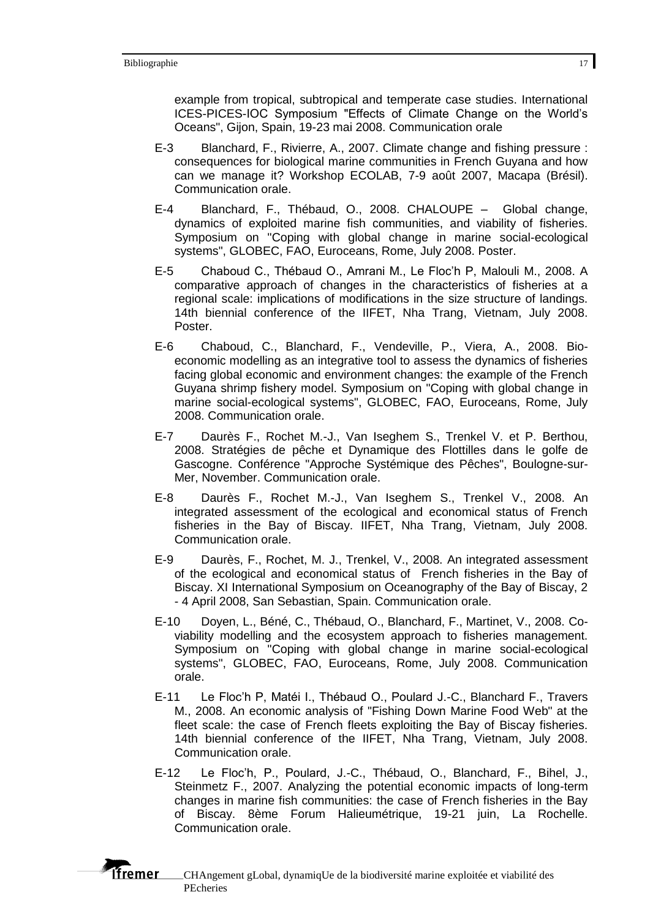example from tropical, subtropical and temperate case studies. International ICES-PICES-IOC Symposium "Effects of Climate Change on the World's Oceans", Gijon, Spain, 19-23 mai 2008. Communication orale

- E-3 Blanchard, F., Rivierre, A., 2007. Climate change and fishing pressure : consequences for biological marine communities in French Guyana and how can we manage it? Workshop ECOLAB, 7-9 août 2007, Macapa (Brésil). Communication orale.
- E-4 Blanchard, F., Thébaud, O., 2008. CHALOUPE Global change, dynamics of exploited marine fish communities, and viability of fisheries. Symposium on "Coping with global change in marine social-ecological systems", GLOBEC, FAO, Euroceans, Rome, July 2008. Poster.
- E-5 Chaboud C., Thébaud O., Amrani M., Le Floc'h P, Malouli M., 2008. A comparative approach of changes in the characteristics of fisheries at a regional scale: implications of modifications in the size structure of landings. 14th biennial conference of the IIFET, Nha Trang, Vietnam, July 2008. Poster.
- E-6 Chaboud, C., Blanchard, F., Vendeville, P., Viera, A., 2008. Bioeconomic modelling as an integrative tool to assess the dynamics of fisheries facing global economic and environment changes: the example of the French Guyana shrimp fishery model. Symposium on "Coping with global change in marine social-ecological systems", GLOBEC, FAO, Euroceans, Rome, July 2008. Communication orale.
- E-7 Daurès F., Rochet M.-J., Van Iseghem S., Trenkel V. et P. Berthou, 2008. Stratégies de pêche et Dynamique des Flottilles dans le golfe de Gascogne. Conférence "Approche Systémique des Pêches", Boulogne-sur-Mer, November. Communication orale.
- E-8 Daurès F., Rochet M.-J., Van Iseghem S., Trenkel V., 2008. An integrated assessment of the ecological and economical status of French fisheries in the Bay of Biscay. IIFET, Nha Trang, Vietnam, July 2008. Communication orale.
- E-9 Daurès, F., Rochet, M. J., Trenkel, V., 2008. An integrated assessment of the ecological and economical status of French fisheries in the Bay of Biscay. XI International Symposium on Oceanography of the Bay of Biscay, 2 - 4 April 2008, San Sebastian, Spain. Communication orale.
- E-10 Doyen, L., Béné, C., Thébaud, O., Blanchard, F., Martinet, V., 2008. Coviability modelling and the ecosystem approach to fisheries management. Symposium on "Coping with global change in marine social-ecological systems", GLOBEC, FAO, Euroceans, Rome, July 2008. Communication orale.
- E-11 Le Floc'h P, Matéi I., Thébaud O., Poulard J.-C., Blanchard F., Travers M., 2008. An economic analysis of "Fishing Down Marine Food Web" at the fleet scale: the case of French fleets exploiting the Bay of Biscay fisheries. 14th biennial conference of the IIFET, Nha Trang, Vietnam, July 2008. Communication orale.
- E-12 Le Floc'h, P., Poulard, J.-C., Thébaud, O., Blanchard, F., Bihel, J., Steinmetz F., 2007. Analyzing the potential economic impacts of long-term changes in marine fish communities: the case of French fisheries in the Bay of Biscay. 8ème Forum Halieumétrique, 19-21 juin, La Rochelle. Communication orale.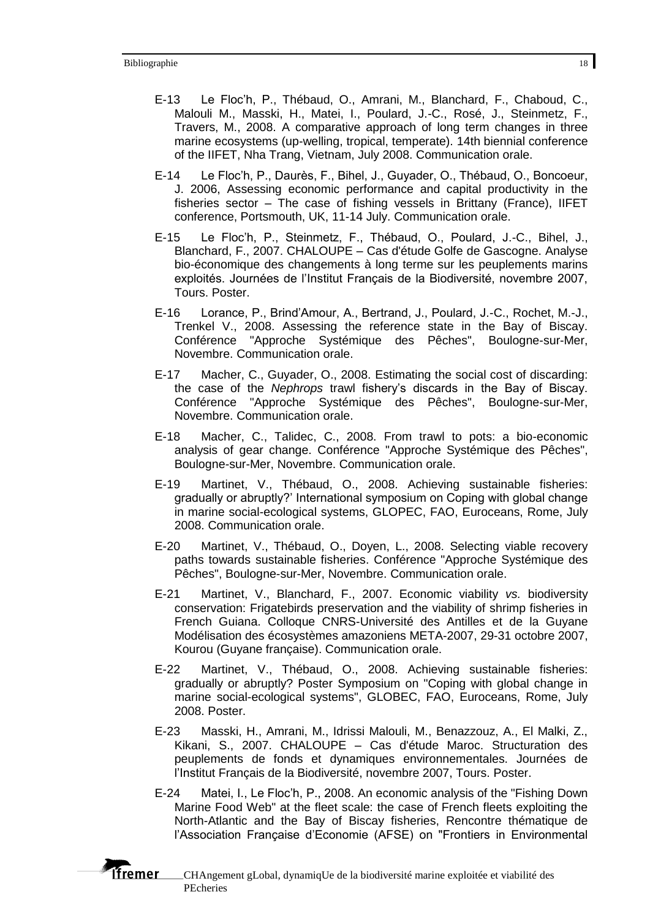*<u>Ifremer</u>* 

- E-13 Le Floc'h, P., Thébaud, O., Amrani, M., Blanchard, F., Chaboud, C., Malouli M., Masski, H., Matei, I., Poulard, J.-C., Rosé, J., Steinmetz, F., Travers, M., 2008. A comparative approach of long term changes in three marine ecosystems (up-welling, tropical, temperate). 14th biennial conference of the IIFET, Nha Trang, Vietnam, July 2008. Communication orale.
- E-14 Le Floc'h, P., Daurès, F., Bihel, J., Guyader, O., Thébaud, O., Boncoeur, J. 2006, Assessing economic performance and capital productivity in the fisheries sector – The case of fishing vessels in Brittany (France), IIFET conference, Portsmouth, UK, 11-14 July. Communication orale.
- E-15 Le Floc'h, P., Steinmetz, F., Thébaud, O., Poulard, J.-C., Bihel, J., Blanchard, F., 2007. CHALOUPE – Cas d'étude Golfe de Gascogne. Analyse bio-économique des changements à long terme sur les peuplements marins exploités. Journées de l'Institut Français de la Biodiversité, novembre 2007, Tours. Poster.
- E-16 Lorance, P., Brind'Amour, A., Bertrand, J., Poulard, J.-C., Rochet, M.-J., Trenkel V., 2008. Assessing the reference state in the Bay of Biscay. Conférence "Approche Systémique des Pêches", Boulogne-sur-Mer, Novembre. Communication orale.
- E-17 Macher, C., Guyader, O., 2008. Estimating the social cost of discarding: the case of the *Nephrops* trawl fishery's discards in the Bay of Biscay. Conférence "Approche Systémique des Pêches", Boulogne-sur-Mer, Novembre. Communication orale.
- E-18 Macher, C., Talidec, C., 2008. From trawl to pots: a bio-economic analysis of gear change. Conférence "Approche Systémique des Pêches", Boulogne-sur-Mer, Novembre. Communication orale.
- E-19 Martinet, V., Thébaud, O., 2008. Achieving sustainable fisheries: gradually or abruptly?' International symposium on Coping with global change in marine social-ecological systems, GLOPEC, FAO, Euroceans, Rome, July 2008. Communication orale.
- E-20 Martinet, V., Thébaud, O., Doyen, L., 2008. Selecting viable recovery paths towards sustainable fisheries. Conférence "Approche Systémique des Pêches", Boulogne-sur-Mer, Novembre. Communication orale.
- E-21 Martinet, V., Blanchard, F., 2007. Economic viability *vs.* biodiversity conservation: Frigatebirds preservation and the viability of shrimp fisheries in French Guiana. Colloque CNRS-Université des Antilles et de la Guyane Modélisation des écosystèmes amazoniens META-2007, 29-31 octobre 2007, Kourou (Guyane française). Communication orale.
- E-22 Martinet, V., Thébaud, O., 2008. Achieving sustainable fisheries: gradually or abruptly? Poster Symposium on "Coping with global change in marine social-ecological systems", GLOBEC, FAO, Euroceans, Rome, July 2008. Poster.
- E-23 Masski, H., Amrani, M., Idrissi Malouli, M., Benazzouz, A., El Malki, Z., Kikani, S., 2007. CHALOUPE – Cas d'étude Maroc. Structuration des peuplements de fonds et dynamiques environnementales. Journées de l'Institut Français de la Biodiversité, novembre 2007, Tours. Poster.
- E-24 Matei, I., Le Floc'h, P., 2008. An economic analysis of the "Fishing Down Marine Food Web" at the fleet scale: the case of French fleets exploiting the North-Atlantic and the Bay of Biscay fisheries, Rencontre thématique de l'Association Française d'Economie (AFSE) on "Frontiers in Environmental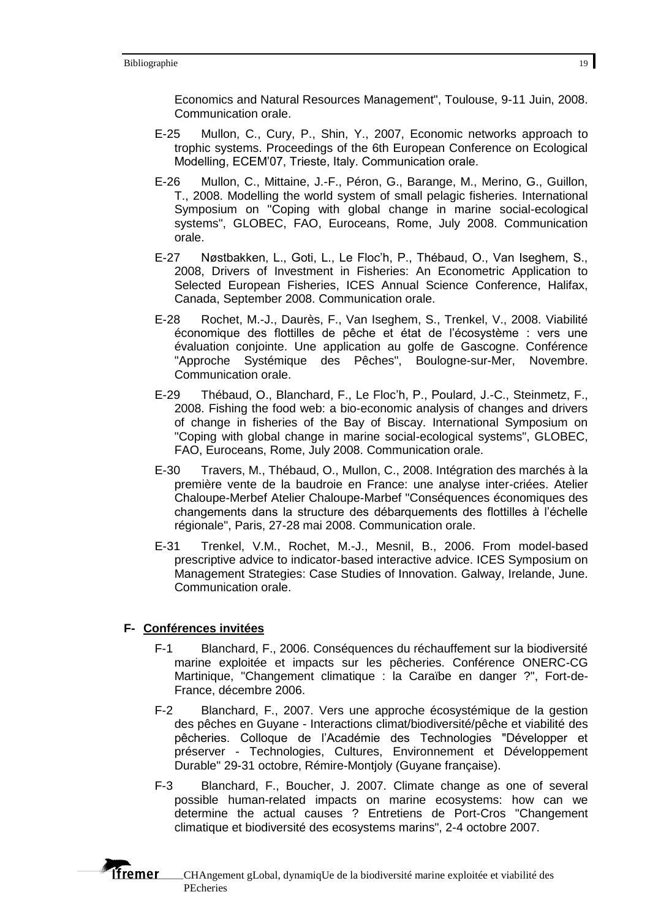Economics and Natural Resources Management", Toulouse, 9-11 Juin, 2008. Communication orale.

- E-25 Mullon, C., Cury, P., Shin, Y., 2007, Economic networks approach to trophic systems. Proceedings of the 6th European Conference on Ecological Modelling, ECEM'07, Trieste, Italy. Communication orale.
- E-26 Mullon, C., Mittaine, J.-F., Péron, G., Barange, M., Merino, G., Guillon, T., 2008. Modelling the world system of small pelagic fisheries. International Symposium on "Coping with global change in marine social-ecological systems", GLOBEC, FAO, Euroceans, Rome, July 2008. Communication orale.
- E-27 Nøstbakken, L., Goti, L., Le Floc'h, P., Thébaud, O., Van Iseghem, S., 2008, Drivers of Investment in Fisheries: An Econometric Application to Selected European Fisheries, ICES Annual Science Conference, Halifax, Canada, September 2008. Communication orale.
- E-28 Rochet, M.-J., Daurès, F., Van Iseghem, S., Trenkel, V., 2008. Viabilité économique des flottilles de pêche et état de l'écosystème : vers une évaluation conjointe. Une application au golfe de Gascogne. Conférence "Approche Systémique des Pêches", Boulogne-sur-Mer, Novembre. Communication orale.
- E-29 Thébaud, O., Blanchard, F., Le Floc'h, P., Poulard, J.-C., Steinmetz, F., 2008. Fishing the food web: a bio-economic analysis of changes and drivers of change in fisheries of the Bay of Biscay. International Symposium on "Coping with global change in marine social-ecological systems", GLOBEC, FAO, Euroceans, Rome, July 2008. Communication orale.
- E-30 Travers, M., Thébaud, O., Mullon, C., 2008. Intégration des marchés à la première vente de la baudroie en France: une analyse inter-criées. Atelier Chaloupe-Merbef Atelier Chaloupe-Marbef "Conséquences économiques des changements dans la structure des débarquements des flottilles à l'échelle régionale", Paris, 27-28 mai 2008. Communication orale.
- E-31 Trenkel, V.M., Rochet, M.-J., Mesnil, B., 2006. From model-based prescriptive advice to indicator-based interactive advice. ICES Symposium on Management Strategies: Case Studies of Innovation. Galway, Irelande, June. Communication orale.

# **F- Conférences invitées**

**Tfremer** 

- F-1 Blanchard, F., 2006. Conséquences du réchauffement sur la biodiversité marine exploitée et impacts sur les pêcheries. Conférence ONERC-CG Martinique, "Changement climatique : la Caraïbe en danger ?", Fort-de-France, décembre 2006.
- F-2 Blanchard, F., 2007. Vers une approche écosystémique de la gestion des pêches en Guyane - Interactions climat/biodiversité/pêche et viabilité des pêcheries. Colloque de l'Académie des Technologies "Développer et préserver - Technologies, Cultures, Environnement et Développement Durable" 29-31 octobre, Rémire-Montjoly (Guyane française).
- F-3 Blanchard, F., Boucher, J. 2007. Climate change as one of several possible human-related impacts on marine ecosystems: how can we determine the actual causes ? Entretiens de Port-Cros "Changement climatique et biodiversité des ecosystems marins", 2-4 octobre 2007.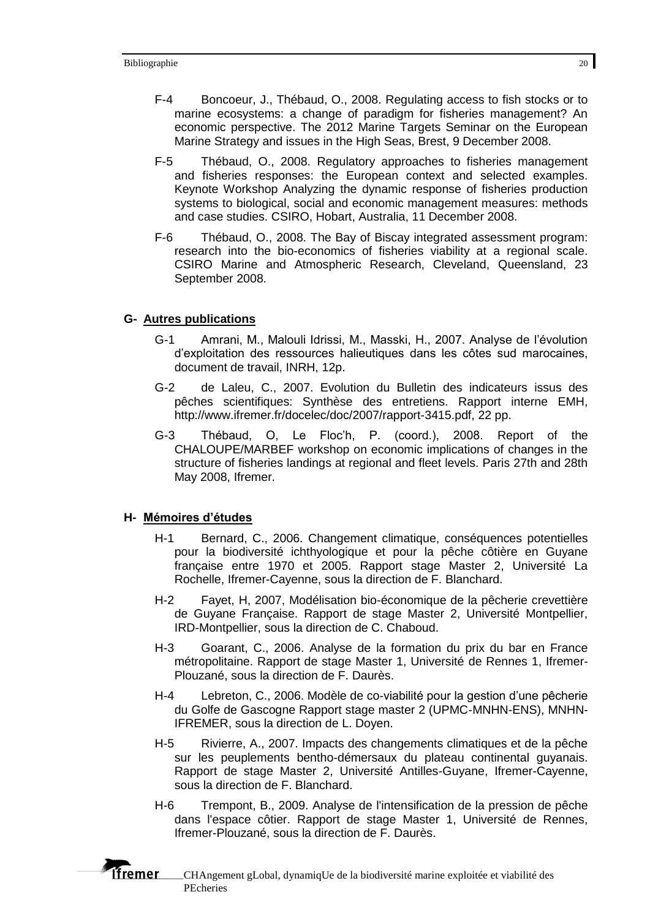- F-4 Boncoeur, J., Thébaud, O., 2008. Regulating access to fish stocks or to marine ecosystems: a change of paradigm for fisheries management? An economic perspective. The 2012 Marine Targets Seminar on the European Marine Strategy and issues in the High Seas, Brest, 9 December 2008.
- F-5 Thébaud, O., 2008. Regulatory approaches to fisheries management and fisheries responses: the European context and selected examples. Keynote Workshop Analyzing the dynamic response of fisheries production systems to biological, social and economic management measures: methods and case studies. CSIRO, Hobart, Australia, 11 December 2008.
- F-6 Thébaud, O., 2008. The Bay of Biscay integrated assessment program: research into the bio-economics of fisheries viability at a regional scale. CSIRO Marine and Atmospheric Research, Cleveland, Queensland, 23 September 2008.

#### **G- Autres publications**

- G-1 Amrani, M., Malouli Idrissi, M., Masski, H., 2007. Analyse de l'évolution d'exploitation des ressources halieutiques dans les côtes sud marocaines, document de travail, INRH, 12p.
- G-2 de Laleu, C., 2007. Evolution du Bulletin des indicateurs issus des pêches scientifiques: Synthèse des entretiens. Rapport interne EMH, http://www.ifremer.fr/docelec/doc/2007/rapport-3415.pdf, 22 pp.
- G-3 Thébaud, O, Le Floc'h, P. (coord.), 2008. Report of the CHALOUPE/MARBEF workshop on economic implications of changes in the structure of fisheries landings at regional and fleet levels. Paris 27th and 28th May 2008, Ifremer.

#### **H- Mémoires d'études**

**Tfremer** 

- H-1 Bernard, C., 2006. Changement climatique, conséquences potentielles pour la biodiversité ichthyologique et pour la pêche côtière en Guyane française entre 1970 et 2005. Rapport stage Master 2, Université La Rochelle, Ifremer-Cayenne, sous la direction de F. Blanchard.
- H-2 Fayet, H, 2007, Modélisation bio-économique de la pêcherie crevettière de Guyane Française. Rapport de stage Master 2, Université Montpellier, IRD-Montpellier, sous la direction de C. Chaboud.
- H-3 Goarant, C., 2006. Analyse de la formation du prix du bar en France métropolitaine. Rapport de stage Master 1, Université de Rennes 1, Ifremer-Plouzané, sous la direction de F. Daurès.
- H-4 Lebreton, C., 2006. Modèle de co-viabilité pour la gestion d'une pêcherie du Golfe de Gascogne Rapport stage master 2 (UPMC-MNHN-ENS), MNHN-IFREMER, sous la direction de L. Doyen.
- H-5 Rivierre, A., 2007. Impacts des changements climatiques et de la pêche sur les peuplements bentho-démersaux du plateau continental guyanais. Rapport de stage Master 2, Université Antilles-Guyane, Ifremer-Cayenne, sous la direction de F. Blanchard.
- H-6 Trempont, B., 2009. Analyse de l'intensification de la pression de pêche dans l'espace côtier. Rapport de stage Master 1, Université de Rennes, Ifremer-Plouzané, sous la direction de F. Daurès.